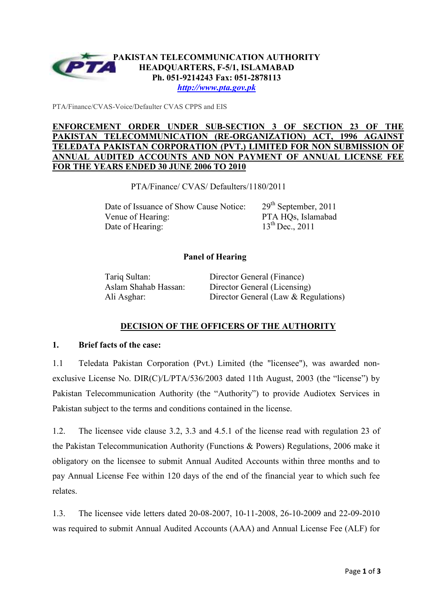

*http://www.pta.gov.pk*

PTA/Finance/CVAS-Voice/Defaulter CVAS CPPS and EIS

## **ENFORCEMENT ORDER UNDER SUB-SECTION 3 OF SECTION 23 OF THE PAKISTAN TELECOMMUNICATION (RE-ORGANIZATION) ACT, 1996 AGAINST TELEDATA PAKISTAN CORPORATION (PVT.) LIMITED FOR NON SUBMISSION ANNUAL AUDITED ACCOUNTS AND NON PAYMENT OF ANNUAL LICENSE FEE FOR THE YEARS ENDED 30 JUNE 2006 TO 2010**

PTA/Finance/ CVAS/ Defaulters/1180/2011

Date of Issuance of Show Cause Notice: 29<sup>th</sup> September, 2011 Venue of Hearing: PTA HQs, Islamabad Date of Hearing:  $13^{th}$  Dec., 2011

## **Panel of Hearing**

Tariq Sultan: Director General (Finance) Aslam Shahab Hassan: Director General (Licensing) Ali Asghar: Director General (Law & Regulations)

# **DECISION OF THE OFFICERS OF THE AUTHORITY**

#### **1. Brief facts of the case:**

1.1 Teledata Pakistan Corporation (Pvt.) Limited (the "licensee"), was awarded nonexclusive License No. DIR(C)/L/PTA/536/2003 dated 11th August, 2003 (the "license") by Pakistan Telecommunication Authority (the "Authority") to provide Audiotex Services in Pakistan subject to the terms and conditions contained in the license.

1.2. The licensee vide clause 3.2, 3.3 and 4.5.1 of the license read with regulation 23 of the Pakistan Telecommunication Authority (Functions & Powers) Regulations, 2006 make it obligatory on the licensee to submit Annual Audited Accounts within three months and to pay Annual License Fee within 120 days of the end of the financial year to which such fee relates.

1.3. The licensee vide letters dated 20-08-2007, 10-11-2008, 26-10-2009 and 22-09-2010 was required to submit Annual Audited Accounts (AAA) and Annual License Fee (ALF) for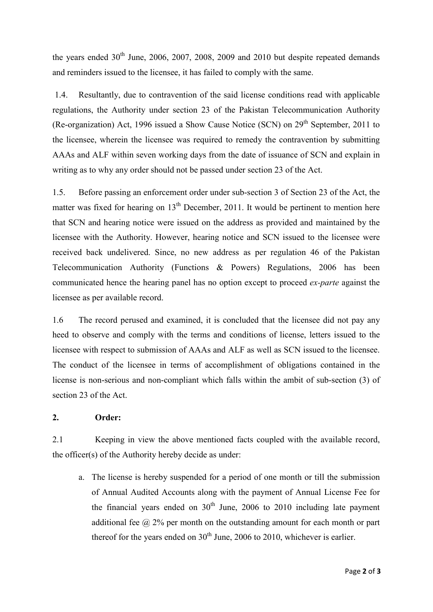the years ended  $30<sup>th</sup>$  June, 2006, 2007, 2008, 2009 and 2010 but despite repeated demands and reminders issued to the licensee, it has failed to comply with the same.

 1.4. Resultantly, due to contravention of the said license conditions read with applicable regulations, the Authority under section 23 of the Pakistan Telecommunication Authority (Re-organization) Act, 1996 issued a Show Cause Notice (SCN) on  $29<sup>th</sup>$  September, 2011 to the licensee, wherein the licensee was required to remedy the contravention by submitting AAAs and ALF within seven working days from the date of issuance of SCN and explain in writing as to why any order should not be passed under section 23 of the Act.

1.5. Before passing an enforcement order under sub-section 3 of Section 23 of the Act, the matter was fixed for hearing on  $13<sup>th</sup>$  December, 2011. It would be pertinent to mention here that SCN and hearing notice were issued on the address as provided and maintained by the licensee with the Authority. However, hearing notice and SCN issued to the licensee were received back undelivered. Since, no new address as per regulation 46 of the Pakistan Telecommunication Authority (Functions & Powers) Regulations, 2006 has been communicated hence the hearing panel has no option except to proceed *ex-parte* against the licensee as per available record.

1.6 The record perused and examined, it is concluded that the licensee did not pay any heed to observe and comply with the terms and conditions of license, letters issued to the licensee with respect to submission of AAAs and ALF as well as SCN issued to the licensee. The conduct of the licensee in terms of accomplishment of obligations contained in the license is non-serious and non-compliant which falls within the ambit of sub-section (3) of section 23 of the Act.

## **2. Order:**

2.1 Keeping in view the above mentioned facts coupled with the available record, the officer(s) of the Authority hereby decide as under:

a. The license is hereby suspended for a period of one month or till the submission of Annual Audited Accounts along with the payment of Annual License Fee for the financial years ended on  $30<sup>th</sup>$  June, 2006 to 2010 including late payment additional fee  $\omega$  2% per month on the outstanding amount for each month or part thereof for the years ended on  $30<sup>th</sup>$  June, 2006 to 2010, whichever is earlier.